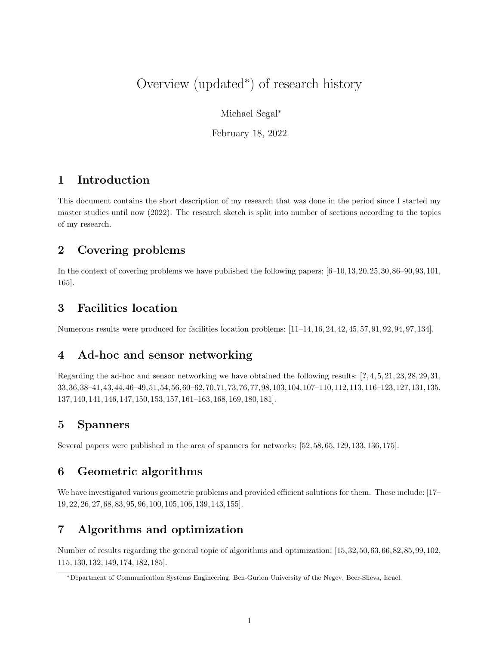# Overview (updated<sup>∗</sup> ) of research history

Michael Segal<sup>∗</sup>

February 18, 2022

## 1 Introduction

This document contains the short description of my research that was done in the period since I started my master studies until now (2022). The research sketch is split into number of sections according to the topics of my research.

## 2 Covering problems

In the context of covering problems we have published the following papers: [6–10,13,20,25,30,86–90,93,101, 165].

#### 3 Facilities location

Numerous results were produced for facilities location problems: [11–14, 16, 24, 42, 45, 57, 91, 92, 94, 97, 134].

### 4 Ad-hoc and sensor networking

Regarding the ad-hoc and sensor networking we have obtained the following results: [?, 4, 5, 21, 23, 28, 29, 31, 33,36,38–41,43,44,46–49,51,54,56,60–62,70,71,73,76,77,98,103,104,107–110,112,113,116–123,127,131,135, 137, 140, 141, 146, 147, 150, 153, 157, 161–163, 168, 169, 180, 181].

#### 5 Spanners

Several papers were published in the area of spanners for networks: [52, 58, 65, 129, 133, 136, 175].

## 6 Geometric algorithms

We have investigated various geometric problems and provided efficient solutions for them. These include: [17– 19, 22, 26, 27, 68, 83, 95, 96, 100, 105, 106, 139, 143, 155].

## 7 Algorithms and optimization

Number of results regarding the general topic of algorithms and optimization: [15, 32, 50, 63, 66, 82, 85, 99, 102, 115, 130, 132, 149, 174, 182, 185].

<sup>∗</sup>Department of Communication Systems Engineering, Ben-Gurion University of the Negev, Beer-Sheva, Israel.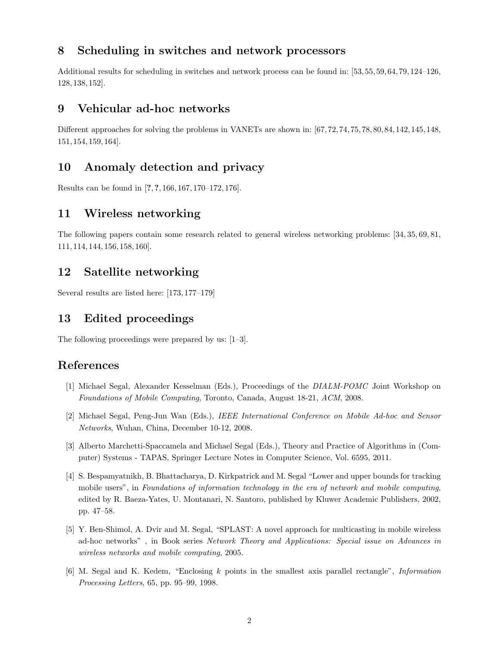### 8 Scheduling in switches and network processors

Additional results for scheduling in switches and network process can be found in: [53, 55, 59, 64, 79, 124–126, 128, 138, 152].

#### 9 Vehicular ad-hoc networks

Different approaches for solving the problems in VANETs are shown in: [67, 72, 74, 75, 78, 80, 84, 142, 145, 148, 151, 154, 159, 164].

#### 10 Anomaly detection and privacy

Results can be found in [?,?, 166, 167, 170–172, 176].

#### 11 Wireless networking

The following papers contain some research related to general wireless networking problems: [34, 35, 69, 81, 111, 114, 144, 156, 158, 160].

#### 12 Satellite networking

Several results are listed here: [173, 177–179]

#### 13 Edited proceedings

The following proceedings were prepared by us: [1–3].

#### References

- [1] Michael Segal, Alexander Kesselman (Eds.), Proceedings of the DIALM-POMC Joint Workshop on Foundations of Mobile Computing, Toronto, Canada, August 18-21, ACM, 2008.
- [2] Michael Segal, Peng-Jun Wan (Eds.), IEEE International Conference on Mobile Ad-hoc and Sensor Networks, Wuhan, China, December 10-12, 2008.
- [3] Alberto Marchetti-Spaccamela and Michael Segal (Eds.), Theory and Practice of Algorithms in (Computer) Systems - TAPAS, Springer Lecture Notes in Computer Science, Vol. 6595, 2011.
- [4] S. Bespamyatnikh, B. Bhattacharya, D. Kirkpatrick and M. Segal "Lower and upper bounds for tracking mobile users", in Foundations of information technology in the era of network and mobile computing, edited by R. Baeza-Yates, U. Montanari, N. Santoro, published by Kluwer Academic Publishers, 2002, pp. 47–58.
- [5] Y. Ben-Shimol, A. Dvir and M. Segal, "SPLAST: A novel approach for multicasting in mobile wireless ad-hoc networks" , in Book series Network Theory and Applications: Special issue on Advances in wireless networks and mobile computing, 2005.
- [6] M. Segal and K. Kedem, "Enclosing k points in the smallest axis parallel rectangle", Information Processing Letters, 65, pp. 95–99, 1998.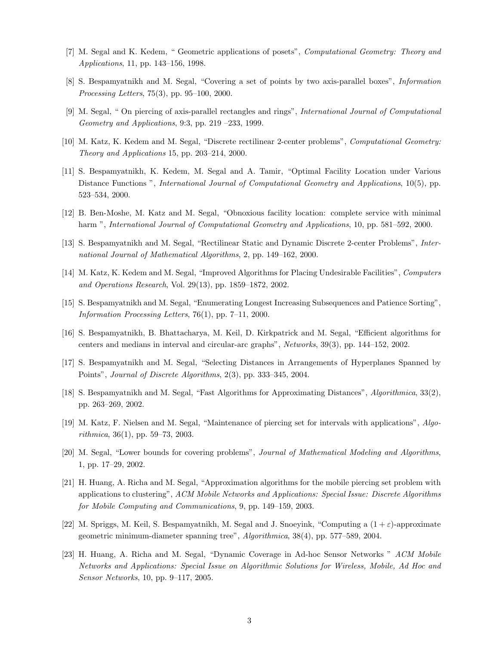- [7] M. Segal and K. Kedem, " Geometric applications of posets", Computational Geometry: Theory and Applications, 11, pp. 143–156, 1998.
- [8] S. Bespamyatnikh and M. Segal, "Covering a set of points by two axis-parallel boxes", Information Processing Letters, 75(3), pp. 95–100, 2000.
- [9] M. Segal, " On piercing of axis-parallel rectangles and rings", International Journal of Computational Geometry and Applications, 9:3, pp. 219 –233, 1999.
- [10] M. Katz, K. Kedem and M. Segal, "Discrete rectilinear 2-center problems", Computational Geometry: Theory and Applications 15, pp. 203–214, 2000.
- [11] S. Bespamyatnikh, K. Kedem, M. Segal and A. Tamir, "Optimal Facility Location under Various Distance Functions ", International Journal of Computational Geometry and Applications, 10(5), pp. 523–534, 2000.
- [12] B. Ben-Moshe, M. Katz and M. Segal, "Obnoxious facility location: complete service with minimal harm ", International Journal of Computational Geometry and Applications, 10, pp. 581–592, 2000.
- [13] S. Bespamyatnikh and M. Segal, "Rectilinear Static and Dynamic Discrete 2-center Problems", International Journal of Mathematical Algorithms, 2, pp. 149–162, 2000.
- [14] M. Katz, K. Kedem and M. Segal, "Improved Algorithms for Placing Undesirable Facilities", Computers and Operations Research, Vol. 29(13), pp. 1859–1872, 2002.
- [15] S. Bespamyatnikh and M. Segal, "Enumerating Longest Increasing Subsequences and Patience Sorting", Information Processing Letters, 76(1), pp. 7–11, 2000.
- [16] S. Bespamyatnikh, B. Bhattacharya, M. Keil, D. Kirkpatrick and M. Segal, "Efficient algorithms for centers and medians in interval and circular-arc graphs", Networks, 39(3), pp. 144–152, 2002.
- [17] S. Bespamyatnikh and M. Segal, "Selecting Distances in Arrangements of Hyperplanes Spanned by Points", Journal of Discrete Algorithms, 2(3), pp. 333–345, 2004.
- [18] S. Bespamyatnikh and M. Segal, "Fast Algorithms for Approximating Distances", Algorithmica, 33(2), pp. 263–269, 2002.
- [19] M. Katz, F. Nielsen and M. Segal, "Maintenance of piercing set for intervals with applications", Algorithmica, 36(1), pp. 59–73, 2003.
- [20] M. Segal, "Lower bounds for covering problems", Journal of Mathematical Modeling and Algorithms, 1, pp. 17–29, 2002.
- [21] H. Huang, A. Richa and M. Segal, "Approximation algorithms for the mobile piercing set problem with applications to clustering", ACM Mobile Networks and Applications: Special Issue: Discrete Algorithms for Mobile Computing and Communications, 9, pp. 149–159, 2003.
- [22] M. Spriggs, M. Keil, S. Bespamyatnikh, M. Segal and J. Snoeyink, "Computing a  $(1 + \varepsilon)$ -approximate geometric minimum-diameter spanning tree", Algorithmica, 38(4), pp. 577–589, 2004.
- [23] H. Huang, A. Richa and M. Segal, "Dynamic Coverage in Ad-hoc Sensor Networks " ACM Mobile Networks and Applications: Special Issue on Algorithmic Solutions for Wireless, Mobile, Ad Hoc and Sensor Networks, 10, pp. 9–117, 2005.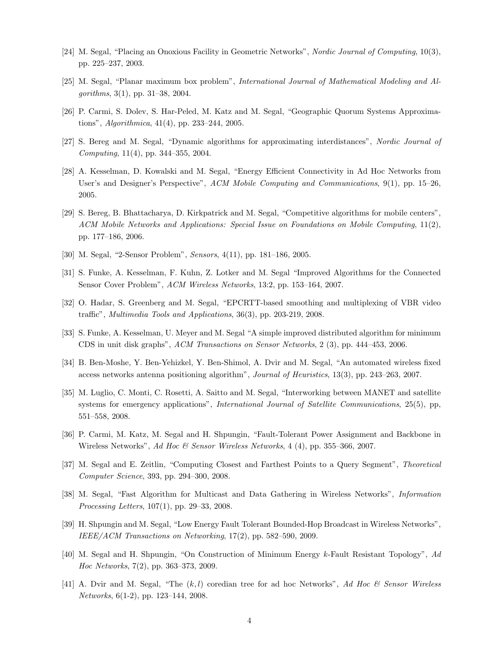- [24] M. Segal, "Placing an Onoxious Facility in Geometric Networks", Nordic Journal of Computing, 10(3), pp. 225–237, 2003.
- [25] M. Segal, "Planar maximum box problem", International Journal of Mathematical Modeling and Algorithms, 3(1), pp. 31–38, 2004.
- [26] P. Carmi, S. Dolev, S. Har-Peled, M. Katz and M. Segal, "Geographic Quorum Systems Approximations", Algorithmica, 41(4), pp. 233–244, 2005.
- [27] S. Bereg and M. Segal, "Dynamic algorithms for approximating interdistances", Nordic Journal of Computing, 11(4), pp. 344–355, 2004.
- [28] A. Kesselman, D. Kowalski and M. Segal, "Energy Efficient Connectivity in Ad Hoc Networks from User's and Designer's Perspective", ACM Mobile Computing and Communications, 9(1), pp. 15–26, 2005.
- [29] S. Bereg, B. Bhattacharya, D. Kirkpatrick and M. Segal, "Competitive algorithms for mobile centers", ACM Mobile Networks and Applications: Special Issue on Foundations on Mobile Computing, 11(2), pp. 177–186, 2006.
- [30] M. Segal, "2-Sensor Problem", Sensors, 4(11), pp. 181–186, 2005.
- [31] S. Funke, A. Kesselman, F. Kuhn, Z. Lotker and M. Segal "Improved Algorithms for the Connected Sensor Cover Problem", ACM Wireless Networks, 13:2, pp. 153–164, 2007.
- [32] O. Hadar, S. Greenberg and M. Segal, "EPCRTT-based smoothing and multiplexing of VBR video traffic", Multimedia Tools and Applications, 36(3), pp. 203-219, 2008.
- [33] S. Funke, A. Kesselman, U. Meyer and M. Segal "A simple improved distributed algorithm for minimum CDS in unit disk graphs", ACM Transactions on Sensor Networks, 2 (3), pp. 444–453, 2006.
- [34] B. Ben-Moshe, Y. Ben-Yehizkel, Y. Ben-Shimol, A. Dvir and M. Segal, "An automated wireless fixed access networks antenna positioning algorithm", Journal of Heuristics, 13(3), pp. 243–263, 2007.
- [35] M. Luglio, C. Monti, C. Rosetti, A. Saitto and M. Segal, "Interworking between MANET and satellite systems for emergency applications", *International Journal of Satellite Communications*, 25(5), pp, 551–558, 2008.
- [36] P. Carmi, M. Katz, M. Segal and H. Shpungin, "Fault-Tolerant Power Assignment and Backbone in Wireless Networks", Ad Hoc & Sensor Wireless Networks, 4 (4), pp. 355–366, 2007.
- [37] M. Segal and E. Zeitlin, "Computing Closest and Farthest Points to a Query Segment", Theoretical Computer Science, 393, pp. 294–300, 2008.
- [38] M. Segal, "Fast Algorithm for Multicast and Data Gathering in Wireless Networks", Information Processing Letters, 107(1), pp. 29–33, 2008.
- [39] H. Shpungin and M. Segal, "Low Energy Fault Tolerant Bounded-Hop Broadcast in Wireless Networks", IEEE/ACM Transactions on Networking, 17(2), pp. 582–590, 2009.
- [40] M. Segal and H. Shpungin, "On Construction of Minimum Energy k-Fault Resistant Topology", Ad Hoc Networks, 7(2), pp. 363–373, 2009.
- [41] A. Dvir and M. Segal, "The  $(k, l)$  coredian tree for ad hoc Networks", Ad Hoc & Sensor Wireless Networks, 6(1-2), pp. 123–144, 2008.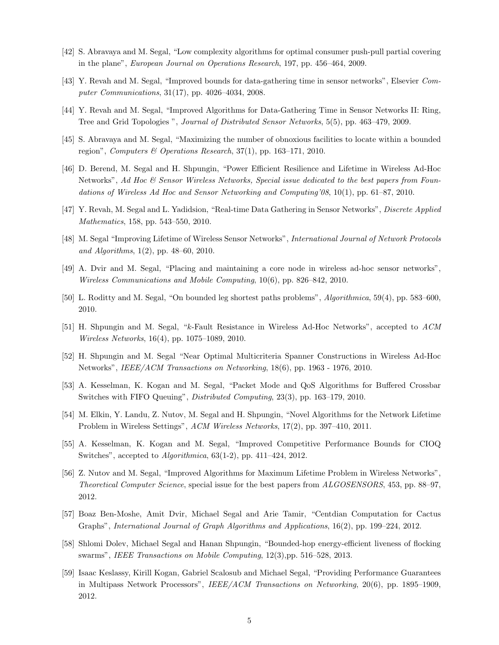- [42] S. Abravaya and M. Segal, "Low complexity algorithms for optimal consumer push-pull partial covering in the plane", European Journal on Operations Research, 197, pp. 456–464, 2009.
- [43] Y. Revah and M. Segal, "Improved bounds for data-gathering time in sensor networks", Elsevier Computer Communications, 31(17), pp. 4026–4034, 2008.
- [44] Y. Revah and M. Segal, "Improved Algorithms for Data-Gathering Time in Sensor Networks II: Ring, Tree and Grid Topologies ", Journal of Distributed Sensor Networks, 5(5), pp. 463–479, 2009.
- [45] S. Abravaya and M. Segal, "Maximizing the number of obnoxious facilities to locate within a bounded region", Computers & Operations Research, 37(1), pp. 163–171, 2010.
- [46] D. Berend, M. Segal and H. Shpungin, "Power Efficient Resilience and Lifetime in Wireless Ad-Hoc Networks", Ad Hoc  $\mathcal{B}$  Sensor Wireless Networks, Special issue dedicated to the best papers from Foundations of Wireless Ad Hoc and Sensor Networking and Computing'08, 10(1), pp. 61–87, 2010.
- [47] Y. Revah, M. Segal and L. Yadidsion, "Real-time Data Gathering in Sensor Networks", Discrete Applied Mathematics, 158, pp. 543–550, 2010.
- [48] M. Segal "Improving Lifetime of Wireless Sensor Networks", International Journal of Network Protocols and Algorithms, 1(2), pp. 48–60, 2010.
- [49] A. Dvir and M. Segal, "Placing and maintaining a core node in wireless ad-hoc sensor networks", Wireless Communications and Mobile Computing, 10(6), pp. 826–842, 2010.
- [50] L. Roditty and M. Segal, "On bounded leg shortest paths problems", Algorithmica, 59(4), pp. 583–600, 2010.
- [51] H. Shpungin and M. Segal, "k-Fault Resistance in Wireless Ad-Hoc Networks", accepted to ACM Wireless Networks, 16(4), pp. 1075–1089, 2010.
- [52] H. Shpungin and M. Segal "Near Optimal Multicriteria Spanner Constructions in Wireless Ad-Hoc Networks", IEEE/ACM Transactions on Networking, 18(6), pp. 1963 - 1976, 2010.
- [53] A. Kesselman, K. Kogan and M. Segal, "Packet Mode and QoS Algorithms for Buffered Crossbar Switches with FIFO Queuing", Distributed Computing, 23(3), pp. 163–179, 2010.
- [54] M. Elkin, Y. Landu, Z. Nutov, M. Segal and H. Shpungin, "Novel Algorithms for the Network Lifetime Problem in Wireless Settings", ACM Wireless Networks, 17(2), pp. 397–410, 2011.
- [55] A. Kesselman, K. Kogan and M. Segal, "Improved Competitive Performance Bounds for CIOQ Switches", accepted to Algorithmica, 63(1-2), pp. 411–424, 2012.
- [56] Z. Nutov and M. Segal, "Improved Algorithms for Maximum Lifetime Problem in Wireless Networks", Theoretical Computer Science, special issue for the best papers from ALGOSENSORS, 453, pp. 88–97, 2012.
- [57] Boaz Ben-Moshe, Amit Dvir, Michael Segal and Arie Tamir, "Centdian Computation for Cactus Graphs", International Journal of Graph Algorithms and Applications, 16(2), pp. 199–224, 2012.
- [58] Shlomi Dolev, Michael Segal and Hanan Shpungin, "Bounded-hop energy-efficient liveness of flocking swarms", IEEE Transactions on Mobile Computing, 12(3), pp. 516–528, 2013.
- [59] Isaac Keslassy, Kirill Kogan, Gabriel Scalosub and Michael Segal, "Providing Performance Guarantees in Multipass Network Processors", IEEE/ACM Transactions on Networking, 20(6), pp. 1895–1909, 2012.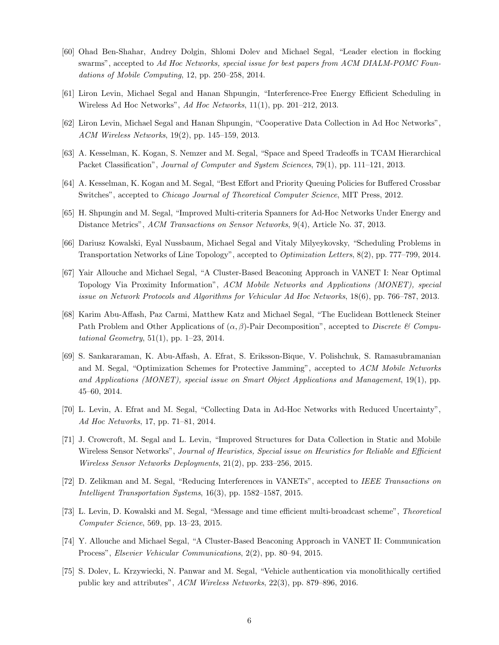- [60] Ohad Ben-Shahar, Andrey Dolgin, Shlomi Dolev and Michael Segal, "Leader election in flocking swarms", accepted to Ad Hoc Networks, special issue for best papers from ACM DIALM-POMC Foundations of Mobile Computing, 12, pp. 250–258, 2014.
- [61] Liron Levin, Michael Segal and Hanan Shpungin, "Interference-Free Energy Efficient Scheduling in Wireless Ad Hoc Networks", Ad Hoc Networks, 11(1), pp. 201–212, 2013.
- [62] Liron Levin, Michael Segal and Hanan Shpungin, "Cooperative Data Collection in Ad Hoc Networks", ACM Wireless Networks, 19(2), pp. 145–159, 2013.
- [63] A. Kesselman, K. Kogan, S. Nemzer and M. Segal, "Space and Speed Tradeoffs in TCAM Hierarchical Packet Classification", Journal of Computer and System Sciences, 79(1), pp. 111–121, 2013.
- [64] A. Kesselman, K. Kogan and M. Segal, "Best Effort and Priority Queuing Policies for Buffered Crossbar Switches", accepted to *Chicago Journal of Theoretical Computer Science*, MIT Press, 2012.
- [65] H. Shpungin and M. Segal, "Improved Multi-criteria Spanners for Ad-Hoc Networks Under Energy and Distance Metrics", ACM Transactions on Sensor Networks, 9(4), Article No. 37, 2013.
- [66] Dariusz Kowalski, Eyal Nussbaum, Michael Segal and Vitaly Milyeykovsky, "Scheduling Problems in Transportation Networks of Line Topology", accepted to Optimization Letters, 8(2), pp. 777–799, 2014.
- [67] Yair Allouche and Michael Segal, "A Cluster-Based Beaconing Approach in VANET I: Near Optimal Topology Via Proximity Information", ACM Mobile Networks and Applications (MONET), special issue on Network Protocols and Algorithms for Vehicular Ad Hoc Networks, 18(6), pp. 766–787, 2013.
- [68] Karim Abu-Affash, Paz Carmi, Matthew Katz and Michael Segal, "The Euclidean Bottleneck Steiner Path Problem and Other Applications of  $(\alpha, \beta)$ -Pair Decomposition", accepted to Discrete & Computational Geometry, 51(1), pp. 1–23, 2014.
- [69] S. Sankararaman, K. Abu-Affash, A. Efrat, S. Eriksson-Bique, V. Polishchuk, S. Ramasubramanian and M. Segal, "Optimization Schemes for Protective Jamming", accepted to ACM Mobile Networks and Applications (MONET), special issue on Smart Object Applications and Management, 19(1), pp. 45–60, 2014.
- [70] L. Levin, A. Efrat and M. Segal, "Collecting Data in Ad-Hoc Networks with Reduced Uncertainty", Ad Hoc Networks, 17, pp. 71–81, 2014.
- [71] J. Crowcroft, M. Segal and L. Levin, "Improved Structures for Data Collection in Static and Mobile Wireless Sensor Networks", Journal of Heuristics, Special issue on Heuristics for Reliable and Efficient Wireless Sensor Networks Deployments, 21(2), pp. 233–256, 2015.
- [72] D. Zelikman and M. Segal, "Reducing Interferences in VANETs", accepted to IEEE Transactions on Intelligent Transportation Systems, 16(3), pp. 1582–1587, 2015.
- [73] L. Levin, D. Kowalski and M. Segal, "Message and time efficient multi-broadcast scheme", Theoretical Computer Science, 569, pp. 13–23, 2015.
- [74] Y. Allouche and Michael Segal, "A Cluster-Based Beaconing Approach in VANET II: Communication Process", Elsevier Vehicular Communications, 2(2), pp. 80–94, 2015.
- [75] S. Dolev, L. Krzywiecki, N. Panwar and M. Segal, "Vehicle authentication via monolithically certified public key and attributes", ACM Wireless Networks, 22(3), pp. 879–896, 2016.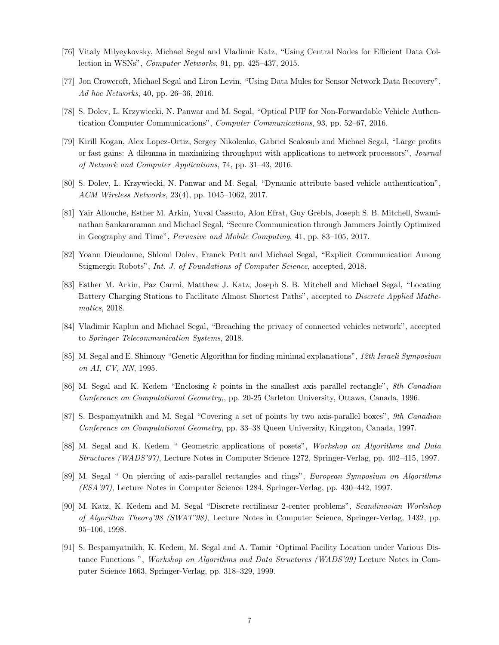- [76] Vitaly Milyeykovsky, Michael Segal and Vladimir Katz, "Using Central Nodes for Efficient Data Collection in WSNs", Computer Networks, 91, pp. 425–437, 2015.
- [77] Jon Crowcroft, Michael Segal and Liron Levin, "Using Data Mules for Sensor Network Data Recovery", Ad hoc Networks, 40, pp. 26–36, 2016.
- [78] S. Dolev, L. Krzywiecki, N. Panwar and M. Segal, "Optical PUF for Non-Forwardable Vehicle Authentication Computer Communications", Computer Communications, 93, pp. 52–67, 2016.
- [79] Kirill Kogan, Alex Lopez-Ortiz, Sergey Nikolenko, Gabriel Scalosub and Michael Segal, "Large profits or fast gains: A dilemma in maximizing throughput with applications to network processors", Journal of Network and Computer Applications, 74, pp. 31–43, 2016.
- [80] S. Dolev, L. Krzywiecki, N. Panwar and M. Segal, "Dynamic attribute based vehicle authentication", ACM Wireless Networks, 23(4), pp. 1045–1062, 2017.
- [81] Yair Allouche, Esther M. Arkin, Yuval Cassuto, Alon Efrat, Guy Grebla, Joseph S. B. Mitchell, Swaminathan Sankararaman and Michael Segal, "Secure Communication through Jammers Jointly Optimized in Geography and Time", Pervasive and Mobile Computing, 41, pp. 83–105, 2017.
- [82] Yoann Dieudonne, Shlomi Dolev, Franck Petit and Michael Segal, "Explicit Communication Among Stigmergic Robots", Int. J. of Foundations of Computer Science, accepted, 2018.
- [83] Esther M. Arkin, Paz Carmi, Matthew J. Katz, Joseph S. B. Mitchell and Michael Segal, "Locating Battery Charging Stations to Facilitate Almost Shortest Paths", accepted to Discrete Applied Mathematics, 2018.
- [84] Vladimir Kaplun and Michael Segal, "Breaching the privacy of connected vehicles network", accepted to Springer Telecommunication Systems, 2018.
- [85] M. Segal and E. Shimony "Genetic Algorithm for finding minimal explanations", 12th Israeli Symposium on AI, CV, NN, 1995.
- [86] M. Segal and K. Kedem "Enclosing k points in the smallest axis parallel rectangle", 8th Canadian Conference on Computational Geometry,, pp. 20-25 Carleton University, Ottawa, Canada, 1996.
- [87] S. Bespamyatnikh and M. Segal "Covering a set of points by two axis-parallel boxes", 9th Canadian Conference on Computational Geometry, pp. 33–38 Queen University, Kingston, Canada, 1997.
- [88] M. Segal and K. Kedem " Geometric applications of posets", Workshop on Algorithms and Data Structures (WADS'97), Lecture Notes in Computer Science 1272, Springer-Verlag, pp. 402–415, 1997.
- [89] M. Segal " On piercing of axis-parallel rectangles and rings", European Symposium on Algorithms (ESA'97), Lecture Notes in Computer Science 1284, Springer-Verlag, pp. 430–442, 1997.
- [90] M. Katz, K. Kedem and M. Segal "Discrete rectilinear 2-center problems", Scandinavian Workshop of Algorithm Theory'98 (SWAT'98), Lecture Notes in Computer Science, Springer-Verlag, 1432, pp. 95–106, 1998.
- [91] S. Bespamyatnikh, K. Kedem, M. Segal and A. Tamir "Optimal Facility Location under Various Distance Functions ", Workshop on Algorithms and Data Structures (WADS'99) Lecture Notes in Computer Science 1663, Springer-Verlag, pp. 318–329, 1999.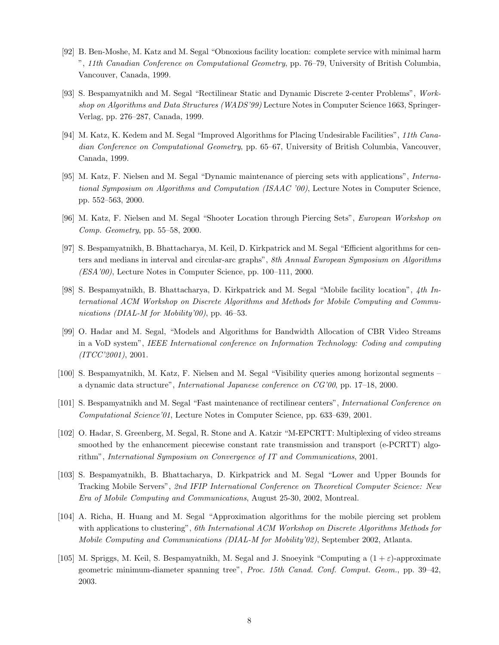- [92] B. Ben-Moshe, M. Katz and M. Segal "Obnoxious facility location: complete service with minimal harm ", 11th Canadian Conference on Computational Geometry, pp. 76–79, University of British Columbia, Vancouver, Canada, 1999.
- [93] S. Bespamyatnikh and M. Segal "Rectilinear Static and Dynamic Discrete 2-center Problems", Workshop on Algorithms and Data Structures (WADS'99) Lecture Notes in Computer Science 1663, Springer-Verlag, pp. 276–287, Canada, 1999.
- [94] M. Katz, K. Kedem and M. Segal "Improved Algorithms for Placing Undesirable Facilities", 11th Canadian Conference on Computational Geometry, pp. 65–67, University of British Columbia, Vancouver, Canada, 1999.
- [95] M. Katz, F. Nielsen and M. Segal "Dynamic maintenance of piercing sets with applications", International Symposium on Algorithms and Computation (ISAAC '00), Lecture Notes in Computer Science, pp. 552–563, 2000.
- [96] M. Katz, F. Nielsen and M. Segal "Shooter Location through Piercing Sets", European Workshop on Comp. Geometry, pp. 55–58, 2000.
- [97] S. Bespamyatnikh, B. Bhattacharya, M. Keil, D. Kirkpatrick and M. Segal "Efficient algorithms for centers and medians in interval and circular-arc graphs", 8th Annual European Symposium on Algorithms (ESA'00), Lecture Notes in Computer Science, pp. 100–111, 2000.
- [98] S. Bespamyatnikh, B. Bhattacharya, D. Kirkpatrick and M. Segal "Mobile facility location", 4th International ACM Workshop on Discrete Algorithms and Methods for Mobile Computing and Communications (DIAL-M for Mobility'00), pp. 46–53.
- [99] O. Hadar and M. Segal, "Models and Algorithms for Bandwidth Allocation of CBR Video Streams in a VoD system", IEEE International conference on Information Technology: Coding and computing (ITCC'2001), 2001.
- [100] S. Bespamyatnikh, M. Katz, F. Nielsen and M. Segal "Visibility queries among horizontal segments a dynamic data structure", International Japanese conference on CG'00, pp. 17–18, 2000.
- [101] S. Bespamyatnikh and M. Segal "Fast maintenance of rectilinear centers", International Conference on Computational Science'01, Lecture Notes in Computer Science, pp. 633–639, 2001.
- [102] O. Hadar, S. Greenberg, M. Segal, R. Stone and A. Katzir "M-EPCRTT: Multiplexing of video streams smoothed by the enhancement piecewise constant rate transmission and transport (e-PCRTT) algorithm", International Symposium on Convergence of IT and Communications, 2001.
- [103] S. Bespamyatnikh, B. Bhattacharya, D. Kirkpatrick and M. Segal "Lower and Upper Bounds for Tracking Mobile Servers", 2nd IFIP International Conference on Theoretical Computer Science: New Era of Mobile Computing and Communications, August 25-30, 2002, Montreal.
- [104] A. Richa, H. Huang and M. Segal "Approximation algorithms for the mobile piercing set problem with applications to clustering", 6th International ACM Workshop on Discrete Algorithms Methods for Mobile Computing and Communications (DIAL-M for Mobility'02), September 2002, Atlanta.
- [105] M. Spriggs, M. Keil, S. Bespamyatnikh, M. Segal and J. Snoeyink "Computing a  $(1 + \varepsilon)$ -approximate geometric minimum-diameter spanning tree", Proc. 15th Canad. Conf. Comput. Geom., pp. 39–42, 2003.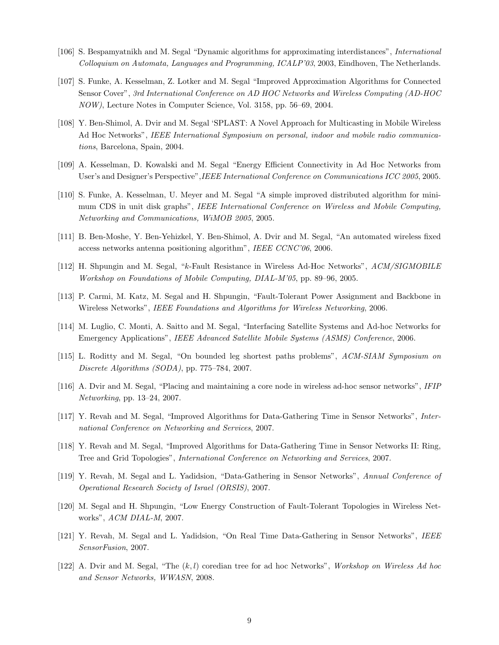- [106] S. Bespamyatnikh and M. Segal "Dynamic algorithms for approximating interdistances", International Colloquium on Automata, Languages and Programming, ICALP'03, 2003, Eindhoven, The Netherlands.
- [107] S. Funke, A. Kesselman, Z. Lotker and M. Segal "Improved Approximation Algorithms for Connected Sensor Cover", 3rd International Conference on AD HOC Networks and Wireless Computing (AD-HOC NOW), Lecture Notes in Computer Science, Vol. 3158, pp. 56–69, 2004.
- [108] Y. Ben-Shimol, A. Dvir and M. Segal 'SPLAST: A Novel Approach for Multicasting in Mobile Wireless Ad Hoc Networks", IEEE International Symposium on personal, indoor and mobile radio communications, Barcelona, Spain, 2004.
- [109] A. Kesselman, D. Kowalski and M. Segal "Energy Efficient Connectivity in Ad Hoc Networks from User's and Designer's Perspective",IEEE International Conference on Communications ICC 2005, 2005.
- [110] S. Funke, A. Kesselman, U. Meyer and M. Segal "A simple improved distributed algorithm for minimum CDS in unit disk graphs", IEEE International Conference on Wireless and Mobile Computing, Networking and Communications, WiMOB 2005, 2005.
- [111] B. Ben-Moshe, Y. Ben-Yehizkel, Y. Ben-Shimol, A. Dvir and M. Segal, "An automated wireless fixed access networks antenna positioning algorithm", IEEE CCNC'06, 2006.
- [112] H. Shpungin and M. Segal, "k-Fault Resistance in Wireless Ad-Hoc Networks", ACM/SIGMOBILE Workshop on Foundations of Mobile Computing, DIAL-M'05, pp. 89–96, 2005.
- [113] P. Carmi, M. Katz, M. Segal and H. Shpungin, "Fault-Tolerant Power Assignment and Backbone in Wireless Networks", IEEE Foundations and Algorithms for Wireless Networking, 2006.
- [114] M. Luglio, C. Monti, A. Saitto and M. Segal, "Interfacing Satellite Systems and Ad-hoc Networks for Emergency Applications", IEEE Advanced Satellite Mobile Systems (ASMS) Conference, 2006.
- [115] L. Roditty and M. Segal, "On bounded leg shortest paths problems", ACM-SIAM Symposium on Discrete Algorithms (SODA), pp. 775–784, 2007.
- [116] A. Dvir and M. Segal, "Placing and maintaining a core node in wireless ad-hoc sensor networks", IFIP Networking, pp. 13–24, 2007.
- [117] Y. Revah and M. Segal, "Improved Algorithms for Data-Gathering Time in Sensor Networks", International Conference on Networking and Services, 2007.
- [118] Y. Revah and M. Segal, "Improved Algorithms for Data-Gathering Time in Sensor Networks II: Ring, Tree and Grid Topologies", International Conference on Networking and Services, 2007.
- [119] Y. Revah, M. Segal and L. Yadidsion, "Data-Gathering in Sensor Networks", Annual Conference of Operational Research Society of Israel (ORSIS), 2007.
- [120] M. Segal and H. Shpungin, "Low Energy Construction of Fault-Tolerant Topologies in Wireless Networks", ACM DIAL-M, 2007.
- [121] Y. Revah, M. Segal and L. Yadidsion, "On Real Time Data-Gathering in Sensor Networks", IEEE SensorFusion, 2007.
- [122] A. Dvir and M. Segal, "The  $(k, l)$  coredian tree for ad hoc Networks", Workshop on Wireless Ad hoc and Sensor Networks, WWASN, 2008.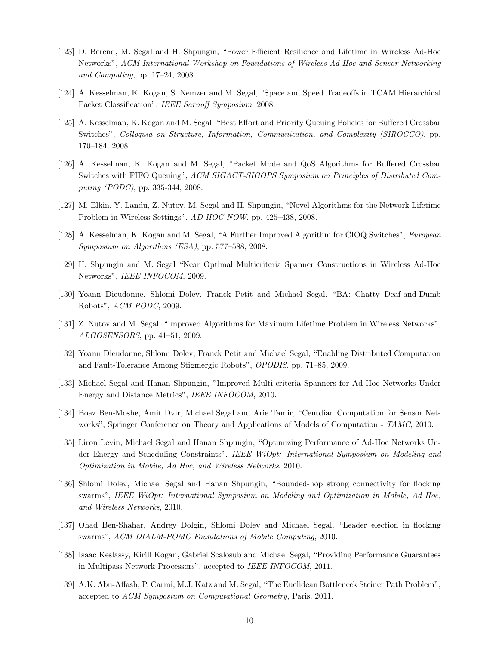- [123] D. Berend, M. Segal and H. Shpungin, "Power Efficient Resilience and Lifetime in Wireless Ad-Hoc Networks", ACM International Workshop on Foundations of Wireless Ad Hoc and Sensor Networking and Computing, pp. 17–24, 2008.
- [124] A. Kesselman, K. Kogan, S. Nemzer and M. Segal, "Space and Speed Tradeoffs in TCAM Hierarchical Packet Classification", IEEE Sarnoff Symposium, 2008.
- [125] A. Kesselman, K. Kogan and M. Segal, "Best Effort and Priority Queuing Policies for Buffered Crossbar Switches", Colloquia on Structure, Information, Communication, and Complexity (SIROCCO), pp. 170–184, 2008.
- [126] A. Kesselman, K. Kogan and M. Segal, "Packet Mode and QoS Algorithms for Buffered Crossbar Switches with FIFO Queuing", ACM SIGACT-SIGOPS Symposium on Principles of Distributed Computing (PODC), pp. 335-344, 2008.
- [127] M. Elkin, Y. Landu, Z. Nutov, M. Segal and H. Shpungin, "Novel Algorithms for the Network Lifetime Problem in Wireless Settings", AD-HOC NOW, pp. 425–438, 2008.
- [128] A. Kesselman, K. Kogan and M. Segal, "A Further Improved Algorithm for CIOQ Switches", European Symposium on Algorithms (ESA), pp. 577–588, 2008.
- [129] H. Shpungin and M. Segal "Near Optimal Multicriteria Spanner Constructions in Wireless Ad-Hoc Networks", IEEE INFOCOM, 2009.
- [130] Yoann Dieudonne, Shlomi Dolev, Franck Petit and Michael Segal, "BA: Chatty Deaf-and-Dumb Robots", ACM PODC, 2009.
- [131] Z. Nutov and M. Segal, "Improved Algorithms for Maximum Lifetime Problem in Wireless Networks", ALGOSENSORS, pp. 41–51, 2009.
- [132] Yoann Dieudonne, Shlomi Dolev, Franck Petit and Michael Segal, "Enabling Distributed Computation and Fault-Tolerance Among Stigmergic Robots", OPODIS, pp. 71–85, 2009.
- [133] Michael Segal and Hanan Shpungin, "Improved Multi-criteria Spanners for Ad-Hoc Networks Under Energy and Distance Metrics", IEEE INFOCOM, 2010.
- [134] Boaz Ben-Moshe, Amit Dvir, Michael Segal and Arie Tamir, "Centdian Computation for Sensor Networks", Springer Conference on Theory and Applications of Models of Computation - TAMC, 2010.
- [135] Liron Levin, Michael Segal and Hanan Shpungin, "Optimizing Performance of Ad-Hoc Networks Under Energy and Scheduling Constraints", IEEE WiOpt: International Symposium on Modeling and Optimization in Mobile, Ad Hoc, and Wireless Networks, 2010.
- [136] Shlomi Dolev, Michael Segal and Hanan Shpungin, "Bounded-hop strong connectivity for flocking swarms", IEEE WiOpt: International Symposium on Modeling and Optimization in Mobile, Ad Hoc, and Wireless Networks, 2010.
- [137] Ohad Ben-Shahar, Andrey Dolgin, Shlomi Dolev and Michael Segal, "Leader election in flocking swarms", ACM DIALM-POMC Foundations of Mobile Computing, 2010.
- [138] Isaac Keslassy, Kirill Kogan, Gabriel Scalosub and Michael Segal, "Providing Performance Guarantees in Multipass Network Processors", accepted to IEEE INFOCOM, 2011.
- [139] A.K. Abu-Affash, P. Carmi, M.J. Katz and M. Segal, "The Euclidean Bottleneck Steiner Path Problem", accepted to ACM Symposium on Computational Geometry, Paris, 2011.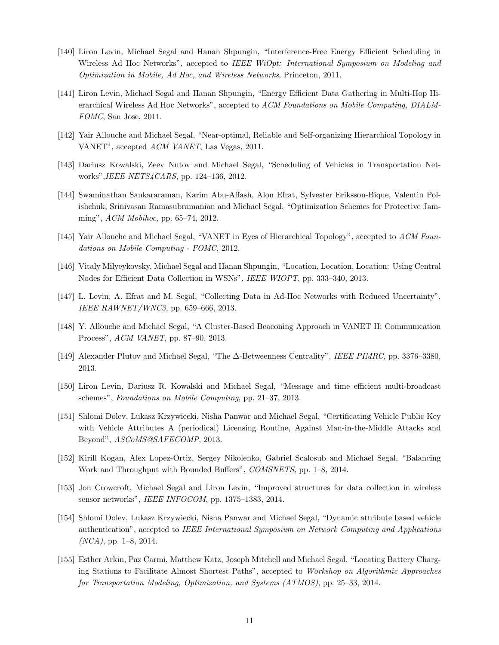- [140] Liron Levin, Michael Segal and Hanan Shpungin, "Interference-Free Energy Efficient Scheduling in Wireless Ad Hoc Networks", accepted to IEEE WiOpt: International Symposium on Modeling and Optimization in Mobile, Ad Hoc, and Wireless Networks, Princeton, 2011.
- [141] Liron Levin, Michael Segal and Hanan Shpungin, "Energy Efficient Data Gathering in Multi-Hop Hierarchical Wireless Ad Hoc Networks", accepted to ACM Foundations on Mobile Computing, DIALM-FOMC, San Jose, 2011.
- [142] Yair Allouche and Michael Segal, "Near-optimal, Reliable and Self-organizing Hierarchical Topology in VANET", accepted ACM VANET, Las Vegas, 2011.
- [143] Dariusz Kowalski, Zeev Nutov and Michael Segal, "Scheduling of Vehicles in Transportation Networks",IEEE NETS4CARS, pp. 124–136, 2012.
- [144] Swaminathan Sankararaman, Karim Abu-Affash, Alon Efrat, Sylvester Eriksson-Bique, Valentin Polishchuk, Srinivasan Ramasubramanian and Michael Segal, "Optimization Schemes for Protective Jamming", ACM Mobihoc, pp. 65–74, 2012.
- [145] Yair Allouche and Michael Segal, "VANET in Eyes of Hierarchical Topology", accepted to ACM Foundations on Mobile Computing - FOMC, 2012.
- [146] Vitaly Milyeykovsky, Michael Segal and Hanan Shpungin, "Location, Location, Location: Using Central Nodes for Efficient Data Collection in WSNs", IEEE WIOPT, pp. 333–340, 2013.
- [147] L. Levin, A. Efrat and M. Segal, "Collecting Data in Ad-Hoc Networks with Reduced Uncertainty", IEEE RAWNET/WNC3, pp. 659–666, 2013.
- [148] Y. Allouche and Michael Segal, "A Cluster-Based Beaconing Approach in VANET II: Communication Process", ACM VANET, pp. 87–90, 2013.
- [149] Alexander Plutov and Michael Segal, "The ∆-Betweenness Centrality", IEEE PIMRC, pp. 3376–3380, 2013.
- [150] Liron Levin, Dariusz R. Kowalski and Michael Segal, "Message and time efficient multi-broadcast schemes", Foundations on Mobile Computing, pp. 21–37, 2013.
- [151] Shlomi Dolev, Lukasz Krzywiecki, Nisha Panwar and Michael Segal, "Certificating Vehicle Public Key with Vehicle Attributes A (periodical) Licensing Routine, Against Man-in-the-Middle Attacks and Beyond", ASCoMS@SAFECOMP, 2013.
- [152] Kirill Kogan, Alex Lopez-Ortiz, Sergey Nikolenko, Gabriel Scalosub and Michael Segal, "Balancing Work and Throughput with Bounded Buffers", COMSNETS, pp. 1–8, 2014.
- [153] Jon Crowcroft, Michael Segal and Liron Levin, "Improved structures for data collection in wireless sensor networks", IEEE INFOCOM, pp. 1375–1383, 2014.
- [154] Shlomi Dolev, Lukasz Krzywiecki, Nisha Panwar and Michael Segal, "Dynamic attribute based vehicle authentication", accepted to IEEE International Symposium on Network Computing and Applications  $(NCA)$ , pp. 1–8, 2014.
- [155] Esther Arkin, Paz Carmi, Matthew Katz, Joseph Mitchell and Michael Segal, "Locating Battery Charging Stations to Facilitate Almost Shortest Paths", accepted to Workshop on Algorithmic Approaches for Transportation Modeling, Optimization, and Systems (ATMOS), pp. 25–33, 2014.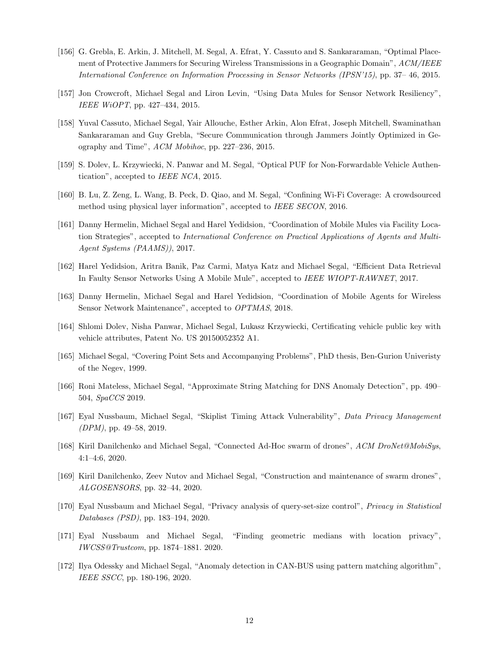- [156] G. Grebla, E. Arkin, J. Mitchell, M. Segal, A. Efrat, Y. Cassuto and S. Sankararaman, "Optimal Placement of Protective Jammers for Securing Wireless Transmissions in a Geographic Domain",  $ACM/IEEE$ International Conference on Information Processing in Sensor Networks (IPSN'15), pp. 37– 46, 2015.
- [157] Jon Crowcroft, Michael Segal and Liron Levin, "Using Data Mules for Sensor Network Resiliency", IEEE WiOPT, pp. 427–434, 2015.
- [158] Yuval Cassuto, Michael Segal, Yair Allouche, Esther Arkin, Alon Efrat, Joseph Mitchell, Swaminathan Sankararaman and Guy Grebla, "Secure Communication through Jammers Jointly Optimized in Geography and Time", ACM Mobihoc, pp. 227–236, 2015.
- [159] S. Dolev, L. Krzywiecki, N. Panwar and M. Segal, "Optical PUF for Non-Forwardable Vehicle Authentication", accepted to IEEE NCA, 2015.
- [160] B. Lu, Z. Zeng, L. Wang, B. Peck, D. Qiao, and M. Segal, "Confining Wi-Fi Coverage: A crowdsourced method using physical layer information", accepted to IEEE SECON, 2016.
- [161] Danny Hermelin, Michael Segal and Harel Yedidsion, "Coordination of Mobile Mules via Facility Location Strategies", accepted to International Conference on Practical Applications of Agents and Multi-Agent Systems (PAAMS)), 2017.
- [162] Harel Yedidsion, Aritra Banik, Paz Carmi, Matya Katz and Michael Segal, "Efficient Data Retrieval In Faulty Sensor Networks Using A Mobile Mule", accepted to IEEE WIOPT-RAWNET, 2017.
- [163] Danny Hermelin, Michael Segal and Harel Yedidsion, "Coordination of Mobile Agents for Wireless Sensor Network Maintenance", accepted to OPTMAS, 2018.
- [164] Shlomi Dolev, Nisha Panwar, Michael Segal, Lukasz Krzywiecki, Certificating vehicle public key with vehicle attributes, Patent No. US 20150052352 A1.
- [165] Michael Segal, "Covering Point Sets and Accompanying Problems", PhD thesis, Ben-Gurion Univeristy of the Negev, 1999.
- [166] Roni Mateless, Michael Segal, "Approximate String Matching for DNS Anomaly Detection", pp. 490– 504, SpaCCS 2019.
- [167] Eyal Nussbaum, Michael Segal, "Skiplist Timing Attack Vulnerability", Data Privacy Management  $(DPM)$ , pp. 49–58, 2019.
- [168] Kiril Danilchenko and Michael Segal, "Connected Ad-Hoc swarm of drones", ACM DroNet@MobiSys, 4:1–4:6, 2020.
- [169] Kiril Danilchenko, Zeev Nutov and Michael Segal, "Construction and maintenance of swarm drones", ALGOSENSORS, pp. 32–44, 2020.
- [170] Eyal Nussbaum and Michael Segal, "Privacy analysis of query-set-size control", Privacy in Statistical Databases (PSD), pp. 183–194, 2020.
- [171] Eyal Nussbaum and Michael Segal, "Finding geometric medians with location privacy", IWCSS@Trustcom, pp. 1874–1881. 2020.
- [172] Ilya Odessky and Michael Segal, "Anomaly detection in CAN-BUS using pattern matching algorithm", IEEE SSCC, pp. 180-196, 2020.